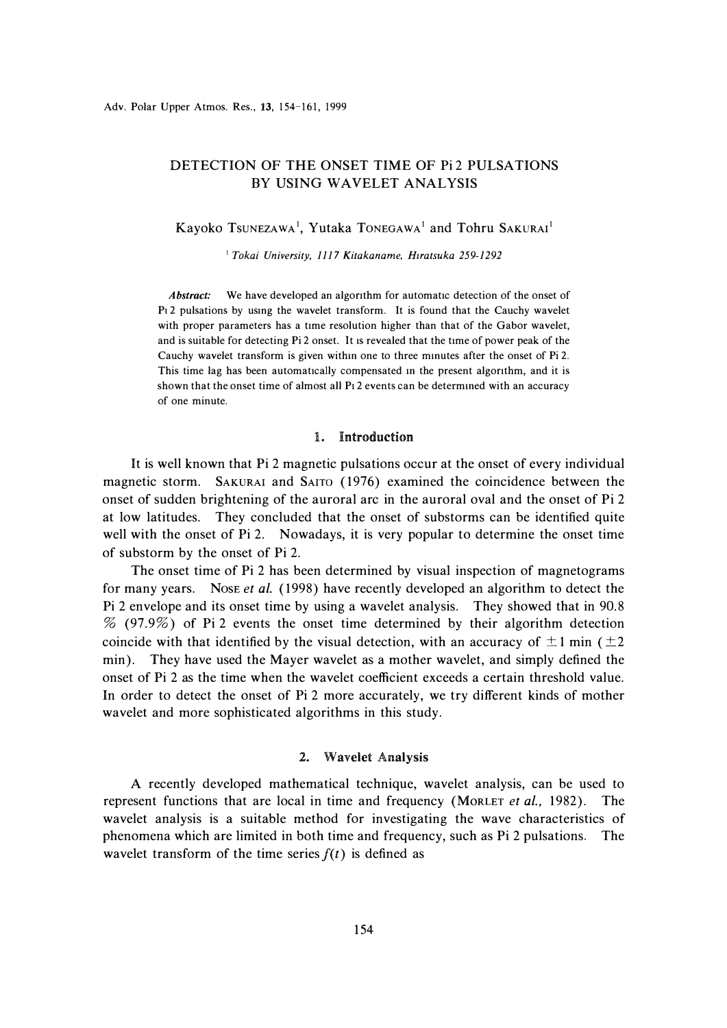# DETECTION OF THE ONSET TIME OF Pi2 PULSATIONS BY USING WAVELET ANALYSIS

Kayoko Tsunezawa<sup>1</sup>, Yutaka Tonegawa<sup>1</sup> and Tohru Sakurai<sup>1</sup>

<sup>1</sup>*Takai University, 1117 Kitakaname, H1ratsuka 259-1292* 

Abstract: We have developed an algorithm for automatic detection of the onset of Pt 2 pulsations by usmg the wavelet transform. It is found that the Cauchy wavelet with proper parameters has a time resolution higher than that of the Gabor wavelet, and is suitable for detecting Pi 2 onset. It is revealed that the time of power peak of the Cauchy wavelet transform is given withm one to three mmutes after the onset of Pi 2. This time lag has been automatically compensated m the present algonthm, and it is shown that the onset time of almost all P1 2 events can be determmed with an accuracy of one minute.

### 1. Introduction

It is well known that Pi 2 magnetic pulsations occur at the onset of every individual magnetic storm. SAKURAI and SAITO (1976) examined the coincidence between the onset of sudden brightening of the auroral arc in the auroral oval and the onset of Pi 2 at low latitudes. They concluded that the onset of substorms can be identified quite well with the onset of Pi 2. Nowadays, it is very popular to determine the onset time of substorm by the onset of Pi 2.

The onset time of Pi 2 has been determined by visual inspection of magnetograms for many years. NosE *et al.* ( 1998) have recently developed an algorithm to detect the Pi 2 envelope and its onset time by using a wavelet analysis. They showed that in 90.8 % (97.9%) of Pi 2 events the onset time determined by their algorithm detection coincide with that identified by the visual detection, with an accuracy of  $\pm 1$  min ( $\pm 2$ ) min). They have used the Mayer wavelet as a mother wavelet, and simply defined the onset of Pi 2 as the time when the wavelet coefficient exceeds a certain threshold value. In order to detect the onset of Pi 2 more accurately, we try different kinds of mother wavelet and more sophisticated algorithms in this study.

### 2. Wavelet Analysis

A recently developed mathematical technique, wavelet analysis, can be used to represent functions that are local in time and frequency (MoRLET *et al.,* 1982). The wavelet analysis is a suitable method for investigating the wave characteristics of phenomena which are limited in both time and frequency, such as Pi 2 pulsations. The wavelet transform of the time series  $f(t)$  is defined as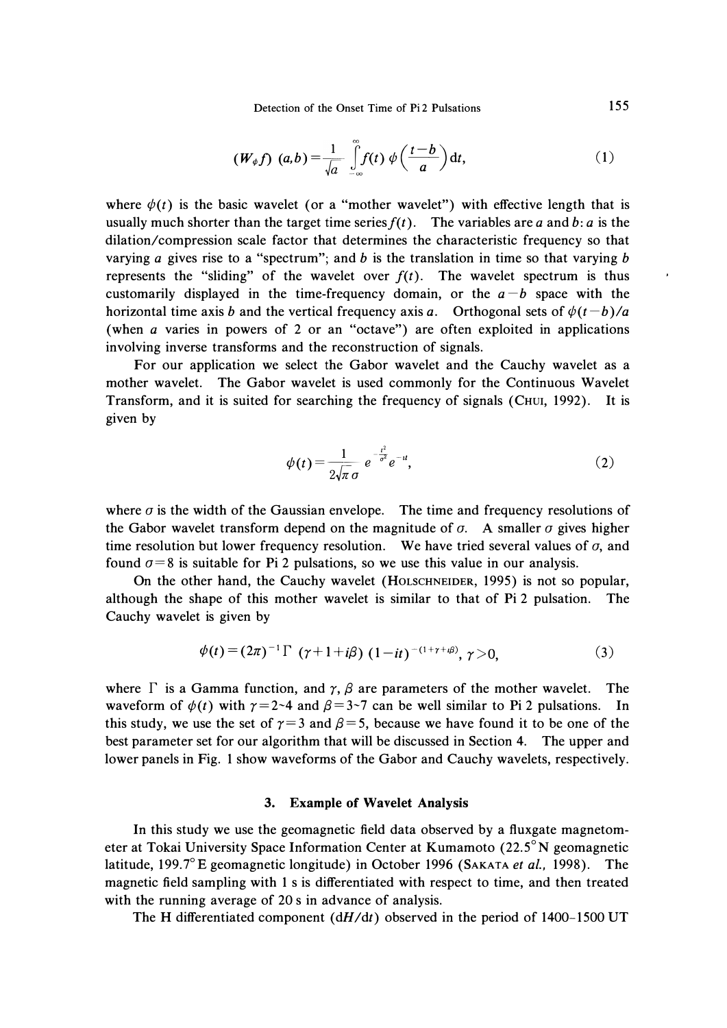Detection of the Onset Time of Pi 2 Pulsations 155

$$
(W_{\phi}f)(a,b)=\frac{1}{\sqrt{a}}\int\limits_{-\infty}^{\infty}f(t)\,\phi\left(\frac{t-b}{a}\right)\mathrm{d}t,\qquad(1)
$$

where  $\phi(t)$  is the basic wavelet (or a "mother wavelet") with effective length that is usually much shorter than the target time series  $f(t)$ . The variables are *a* and *b*: *a* is the dilation/compression scale factor that determines the characteristic frequency so that varying *a* gives rise to a "spectrum"; and *b* is the translation in time so that varying *b*  represents the "sliding" of the wavelet over  $f(t)$ . The wavelet spectrum is thus customarily displayed in the time-frequency domain, or the  $a - b$  space with the horizontal time axis *b* and the vertical frequency axis *a*. Orthogonal sets of  $\phi(t-b)/a$ (when *a* varies in powers of 2 or an "octave") are often exploited in applications involving inverse transforms and the reconstruction of signals.

For our application we select the Gabor wavelet and the Cauchy wavelet as a mother wavelet. The Gabor wavelet is used commonly for the Continuous Wavelet Transform, and it is suited for searching the frequency of signals (CHUI, 1992). It is given by

$$
\phi(t) = \frac{1}{2\sqrt{\pi} \sigma} e^{-\frac{t^2}{\sigma^2}} e^{-u},
$$
\n(2)

where  $\sigma$  is the width of the Gaussian envelope. The time and frequency resolutions of the Gabor wavelet transform depend on the magnitude of  $\sigma$ . A smaller  $\sigma$  gives higher time resolution but lower frequency resolution. We have tried several values of  $\sigma$ , and found  $\sigma=8$  is suitable for Pi 2 pulsations, so we use this value in our analysis.

On the other hand, the Cauchy wavelet (HoLSCHNEIDER, 1995) is not so popular, although the shape of this mother wavelet is similar to that of Pi 2 pulsation. The Cauchy wavelet is given by

$$
\phi(t) = (2\pi)^{-1} \Gamma \ (\gamma + 1 + i\beta) \ (1 - it)^{-(1 + \gamma + i\beta)}, \ \gamma > 0,
$$
 (3)

where  $\Gamma$  is a Gamma function, and  $\gamma$ ,  $\beta$  are parameters of the mother wavelet. The waveform of  $\phi(t)$  with  $\gamma = 2-4$  and  $\beta = 3-7$  can be well similar to Pi 2 pulsations. In this study, we use the set of  $\gamma = 3$  and  $\beta = 5$ , because we have found it to be one of the best parameter set for our algorithm that will be discussed in Section 4. The upper and lower panels in Fig. 1 show waveforms of the Gabor and Cauchy wavelets, respectively.

### **3. Example of Wavelet Analysis**

In this study we use the geomagnetic field data observed by a fluxgate magnetometer at Tokai University Space Information Center at Kumamoto (22.5° **N** geomagnetic latitude, 199.7° E geomagnetic longitude) in October 1996 (SAKATA *et al.,* 1998). The magnetic field sampling with 1 s is differentiated with respect to time, and then treated with the running average of 20 s in advance of analysis.

The H differentiated component  $(dH/dt)$  observed in the period of 1400–1500 UT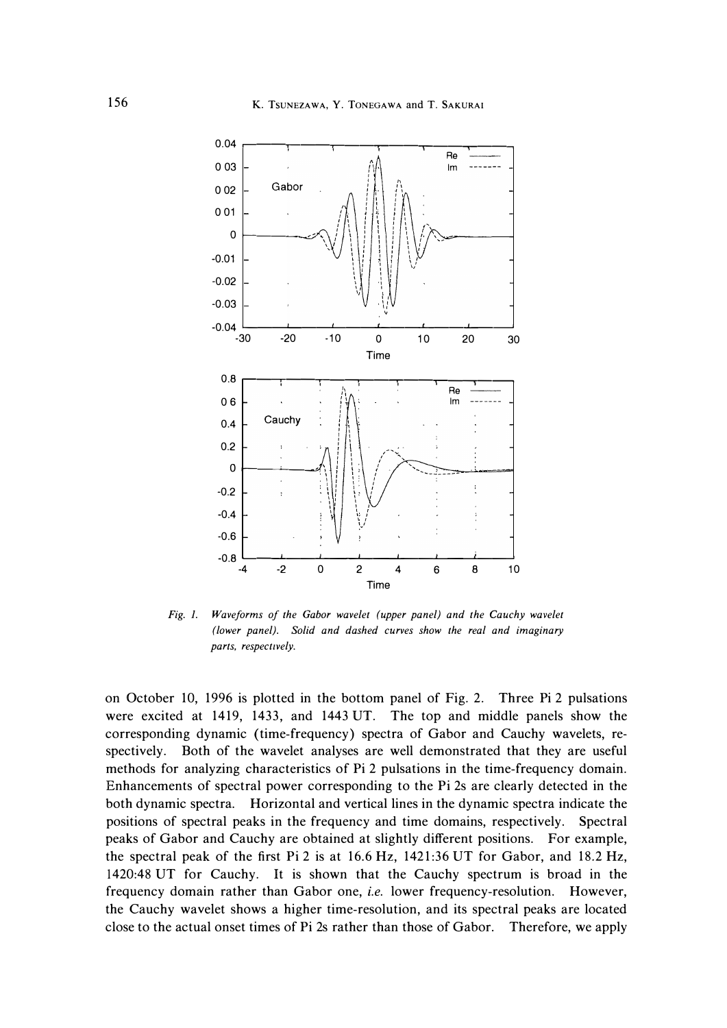

Fig. 1. Waveforms of the Gabor wavelet (upper panel) and the Cauchy wavelet *(lower panel). Solid and dashed curves show the real and imaginary parts, respectively.* 

on October 10, 1996 is plotted in the bottom panel of Fig. 2. Three Pi 2 pulsations were excited at 1419, 1433, and 1443 UT. The top and middle panels show the corresponding dynamic (time-frequency) spectra of Gabor and Cauchy wavelets, respectively. Both of the wavelet analyses are well demonstrated that they are useful methods for analyzing characteristics of Pi 2 pulsations in the time-frequency domain. Enhancements of spectral power corresponding to the Pi 2s are clearly detected in the both dynamic spectra. Horizontal and vertical lines in the dynamic spectra indicate the positions of spectral peaks in the frequency and time domains, respectively. Spectral peaks of Gabor and Cauchy are obtained at slightly different positions. For example, the spectral peak of the first Pi 2 is at 16.6 Hz, 1421:36 UT for Gabor, and 18.2 Hz, 1420:48 UT for Cauchy. It is shown that the Cauchy spectrum is broad in the frequency domain rather than Gabor one, *i.e.* lower frequency-resolution. However, the Cauchy wavelet shows a higher time-resolution, and its spectral peaks are located close to the actual onset times of Pi 2s rather than those of Gabor. Therefore, we apply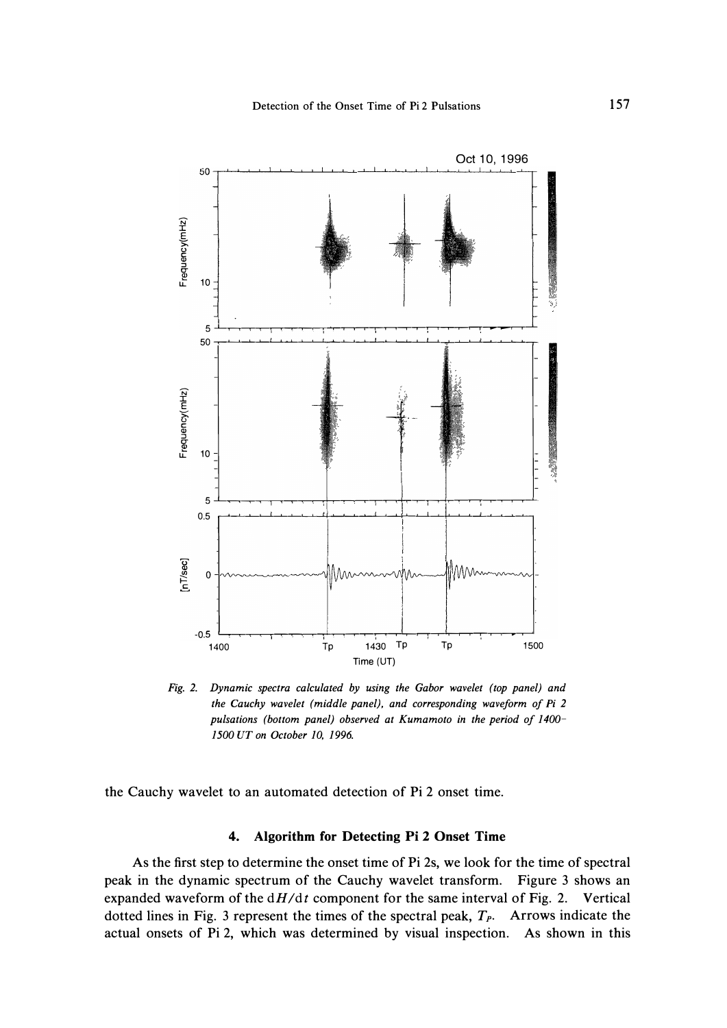

*Fig. 2. Dynamic spectra calculated by using the Gabor wavelet (top panel) and the Cauchy wavelet (middle panel), and corresponding waveform of Pi 2 pulsations (bottom panel) observed at Kumamoto in the period of 1400- 1500 UT on October 10, 1996.* 

**the Cauchy wavelet to an automated detection of Pi 2 onset time.** 

## **4. Algorithm for Detecting Pi 2 Onset Time**

**As the first step to determine the onset time of Pi 2s, we look for the time of spectral peak in the dynamic spectrum of the Cauchy wavelet transform. Figure 3 shows an expanded waveform of the** *dH/dt* **component for the same interval of Fig. 2. Vertical dotted lines in Fig. 3 represent the times of the spectral peak, T***p***. Arrows indicate the actual onsets of Pi 2, which was determined by visual inspection. As shown in this**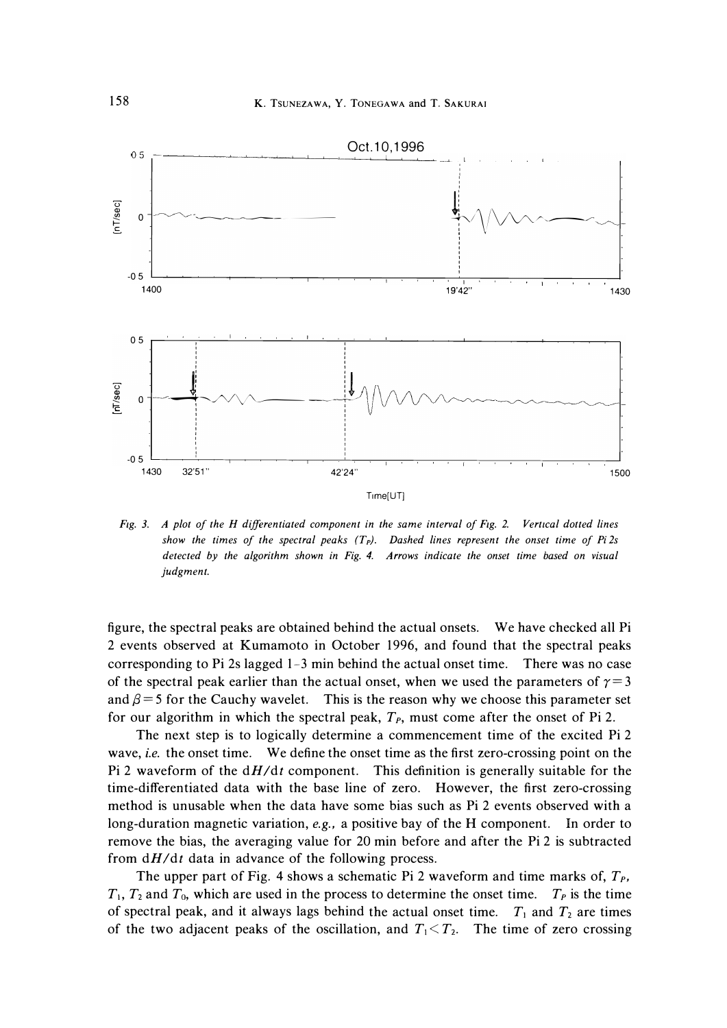

*Fig. 3. A plot of the H differentiated component in the same interval of Fig. 2. Vertical dotted lines show the times of the spectral peaks (Tp). Dashed lines represent the onset time of Pi 2s detected by the algorithm shown in Fig. 4. Arrows indicate the onset time based on visual judgment.* 

figure, the spectral peaks are obtained behind the actual onsets. We have checked all Pi 2 events observed at Kumamoto in October 1996, and found that the spectral peaks corresponding to Pi 2s lagged 1-3 min behind the actual onset time. There was no case of the spectral peak earlier than the actual onset, when we used the parameters of  $\gamma = 3$ and  $\beta$  = 5 for the Cauchy wavelet. This is the reason why we choose this parameter set for our algorithm in which the spectral peak,  $T<sub>P</sub>$ , must come after the onset of Pi 2.

The next step is to logically determine a commencement time of the excited Pi 2 wave, *i.e.* the onset time. We define the onset time as the first zero-crossing point on the Pi 2 waveform of the *dH/dt* component. This definition is generally suitable for the time-differentiated data with the base line of zero. However, the first zero-crossing method is unusable when the data have some bias such as Pi 2 events observed with a long-duration magnetic variation, *e.g.,* a positive bay of the H component. In order to remove the bias, the averaging value for 20 min before and after the Pi 2 is subtracted from  $dH/dt$  data in advance of the following process.

The upper part of Fig. 4 shows a schematic Pi 2 waveform and time marks of,  $T_p$ ,  $T_1$ ,  $T_2$  and  $T_0$ , which are used in the process to determine the onset time.  $T_P$  is the time of spectral peak, and it always lags behind the actual onset time.  $T_1$  and  $T_2$  are times of the two adjacent peaks of the oscillation, and  $T_1 \leq T_2$ . The time of zero crossing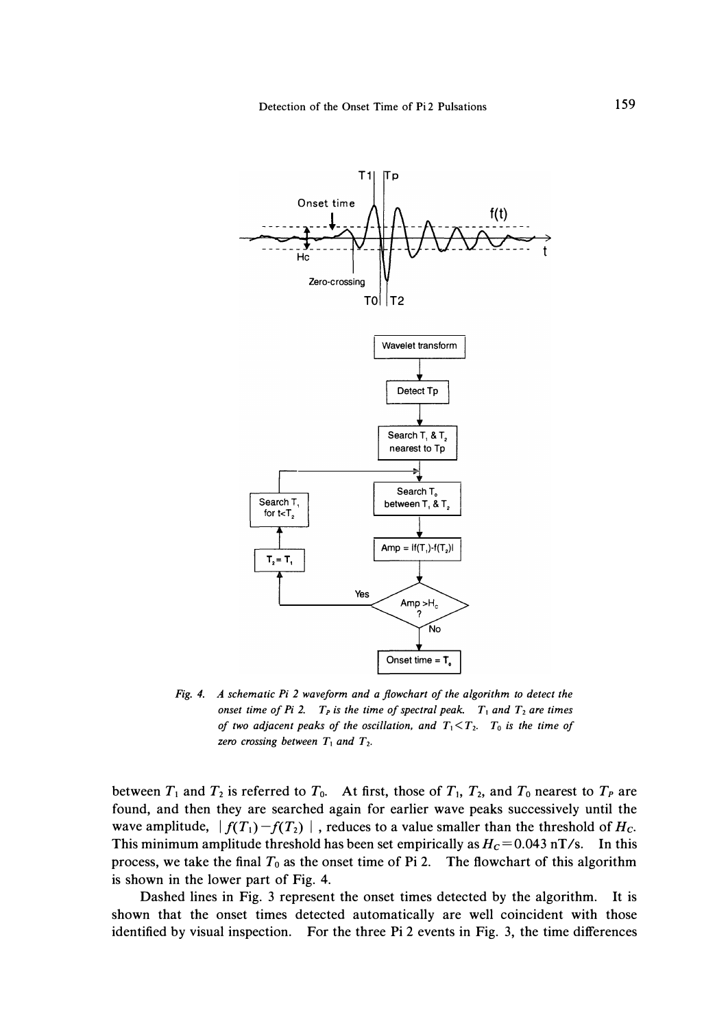

*Fig. 4. A schematic Pi 2 waveform and a flowchart of the algorithm to detect the onset time of Pi 2.*  $T<sub>P</sub>$  *is the time of spectral peak.*  $T<sub>1</sub>$  *and*  $T<sub>2</sub>$  *are times of two adjacent peaks of the oscillation, and*  $T_1 < T_2$ *.*  $T_0$  *is the time of zero crossing between*  $T_1$  and  $T_2$ .

between  $T_1$  and  $T_2$  is referred to  $T_0$ . At first, those of  $T_1$ ,  $T_2$ , and  $T_0$  nearest to  $T_P$  are **found, and then they are searched again for earlier wave peaks successively until the**  wave amplitude,  $|f(T_1)-f(T_2)|$ , reduces to a value smaller than the threshold of  $H_c$ . This minimum amplitude threshold has been set empirically as  $H_c = 0.043$  nT/s. In this process, we take the final  $T_0$  as the onset time of Pi 2. The flowchart of this algorithm **is shown in the lower part of Fig. 4.** 

**Dashed lines in Fig. 3 represent the onset times detected by the algorithm. It is shown that the onset times detected automatically are well coincident with those identified by visual inspection. For the three Pi 2 events in Fig. 3, the time differences**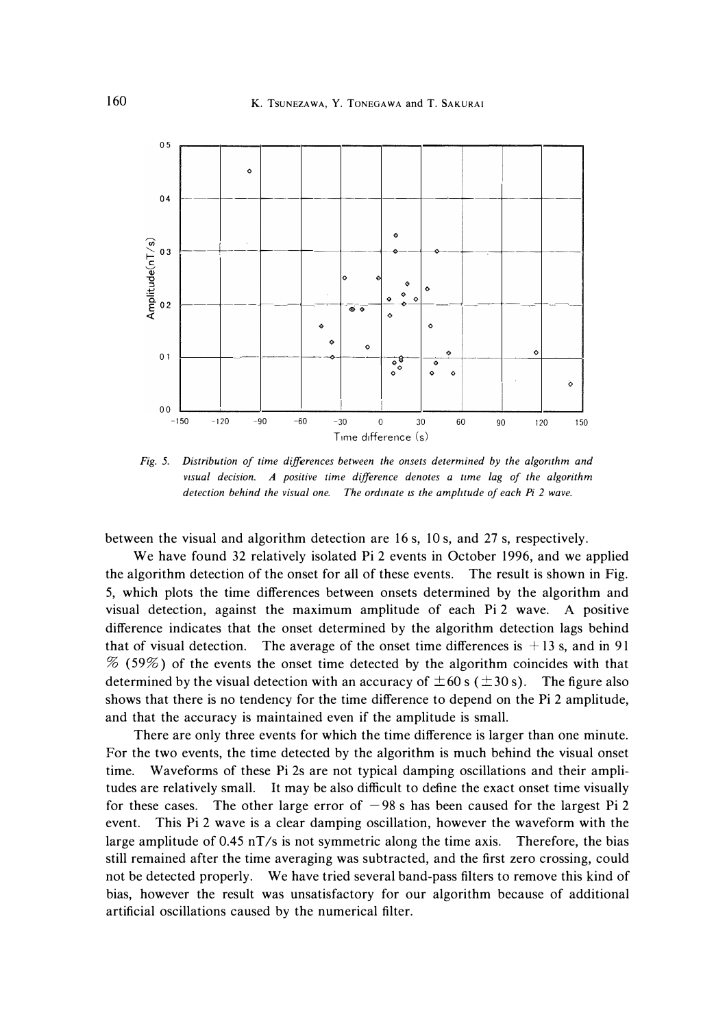

*Fig. 5. Distribution of time differences between the onsets determined by the algorithm and visual decision. A positive time difference denotes a time lag of the algorithm detection behind the visual one.* The ordinate is the amplitude of each Pi 2 wave.

between the visual and algorithm detection are 16 s, 10 s, and 27 s, respectively.

We have found 32 relatively isolated Pi 2 events in October 1996, and we applied the algorithm detection of the onset for all of these events. The result is shown in Fig. 5, which plots the time differences between onsets determined by the algorithm and visual detection, against the maximum amplitude of each Pi 2 wave. A positive difference indicates that the onset determined by the algorithm detection lags behind that of visual detection. The average of the onset time differences is  $+13$  s, and in 91  $%$  (59%) of the events the onset time detected by the algorithm coincides with that determined by the visual detection with an accuracy of  $\pm 60$  s ( $\pm 30$  s). The figure also shows that there is no tendency for the time difference to depend on the Pi 2 amplitude, and that the accuracy is maintained even if the amplitude is small.

There are only three events for which the time difference is larger than one minute. For the two events, the time detected by the algorithm is much behind the visual onset time. Waveforms of these Pi 2s are not typical damping oscillations and their amplitudes are relatively small. It may be also difficult to define the exact onset time visually for these cases. The other large error of  $-98$  s has been caused for the largest Pi 2 event. This Pi 2 wave is a clear damping oscillation, however the waveform with the large amplitude of 0.45 nT/s is not symmetric along the time axis. Therefore, the bias still remained after the time averaging was subtracted, and the first zero crossing, could not be detected properly. We have tried several band-pass filters to remove this kind of bias, however the result was unsatisfactory for our algorithm because of additional artificial oscillations caused by the numerical filter.